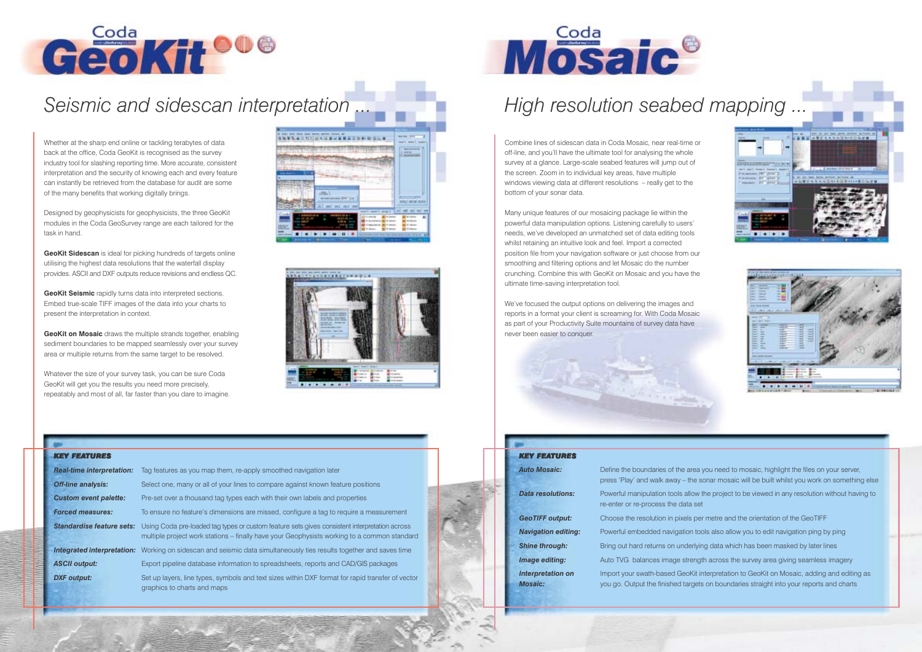

# *Seismic and sidescan interpretation ...*

Whether at the sharp end online or tackling terabytes of data back at the office, Coda GeoKit is recognised as the survey industry tool for slashing reporting time. More accurate, consistent interpretation and the security of knowing each and every feature can instantly be retrieved from the database for audit are some of the many benefits that working digitally brings.

**GeoKit Seismic** rapidly turns data into interpreted sections. Embed true-scale TIFF images of the data into your charts to present the interpretation in context.

Designed by geophysicists for geophysicists, the three GeoKit modules in the Coda GeoSurvey range are each tailored for the task in hand.

**GeoKit Sidescan** is ideal for picking hundreds of targets online utilising the highest data resolutions that the waterfall display provides. ASCII and DXF outputs reduce revisions and endless QC.

**GeoKit on Mosaic** draws the multiple strands together, enabling sediment boundaries to be mapped seamlessly over your survey area or multiple returns from the same target to be resolved.

Whatever the size of your survey task, you can be sure Coda GeoKit will get you the results you need more precisely, repeatably and most of all, far faster than you dare to imagine.





| <b>KEY FEATURES</b>        |                                                                            |
|----------------------------|----------------------------------------------------------------------------|
| <b>Auto Mosaic:</b>        | Define the boundaries of the area<br>press 'Play' and walk away - the s    |
| <b>Data resolutions:</b>   | Powerful manipulation tools allow t<br>re-enter or re-process the data set |
| <b>GeoTIFF output:</b>     | Choose the resolution in pixels per                                        |
| <b>Navigation editing:</b> | Powerful embedded navigation too                                           |
| <b>Shine through:</b>      | Bring out hard returns on underlyir                                        |
| Image editing:             | Auto TVG balances image strengt                                            |
| <b>Interpretation on</b>   | Import your swath-based GeoKit ir                                          |
| <b>Mosaic:</b>             | you go. Output the finished targets                                        |





#### *KEY FEATURES*

| <b>Real-time interpretation:</b> | Tag features as you map them, re-apply smoothed navigation later                                                                                                                                                              |
|----------------------------------|-------------------------------------------------------------------------------------------------------------------------------------------------------------------------------------------------------------------------------|
| <b>Off-line analysis:</b>        | Select one, many or all of your lines to compare against known feature positions                                                                                                                                              |
| <b>Custom event palette:</b>     | Pre-set over a thousand tag types each with their own labels and properties                                                                                                                                                   |
| <b>Forced measures:</b>          | To ensure no feature's dimensions are missed, configure a tag to require a measurement                                                                                                                                        |
|                                  | <b>Standardise feature sets:</b> Using Coda pre-loaded tag types or custom feature sets gives consistent interpretation across<br>multiple project work stations – finally have your Geophysists working to a common standard |
| Integrated interpretation:       | Working on sidescan and seismic data simultaneously ties results together and saves time                                                                                                                                      |
| <b>ASCII output:</b>             | Export pipeline database information to spreadsheets, reports and CAD/GIS packages                                                                                                                                            |
| <b>DXF</b> output:               | Set up layers, line types, symbols and text sizes within DXF format for rapid transfer of vector<br>graphics to charts and maps                                                                                               |

- ea you need to mosaic, highlight the files on your server, ne sonar mosaic will be built whilst you work on something else
- bw the project to be viewed in any resolution without having to
- per metre and the orientation of the GeoTIFF
- tools also allow you to edit navigation ping by ping
- **Shing data which has been masked by later lines**
- Ingth across the survey area giving seamless imagery
- *I*t interpretation to GeoKit on Mosaic, adding and editing as yets on boundaries straight into your reports and charts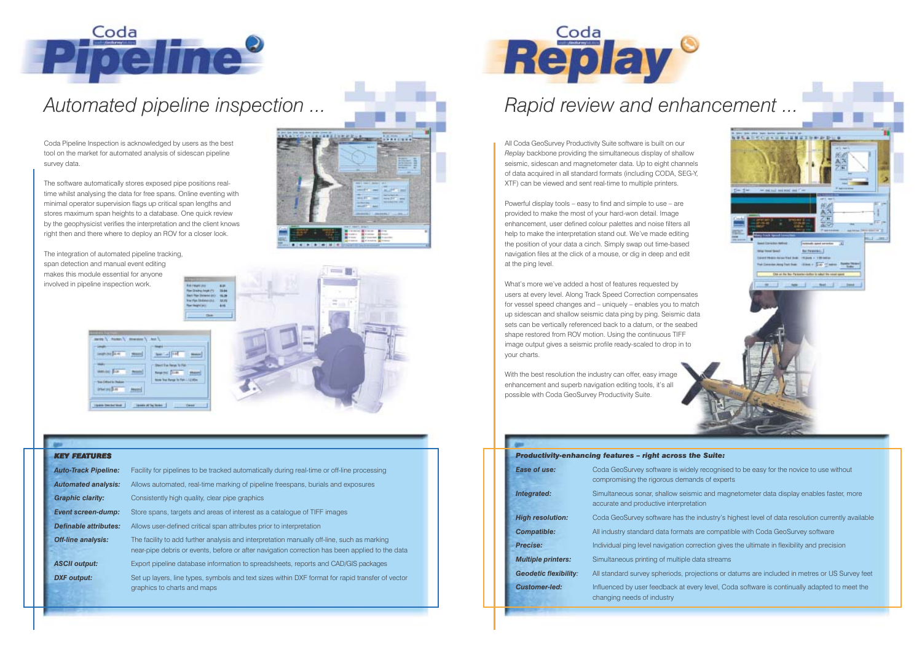

# *Automated pipeline inspection ...*

All Coda GeoSurvey Productivity Suite software is built on our *Replay* backbone providing the simultaneous display of shallow seismic, sidescan and magnetometer data. Up to eight channels of data acquired in all standard formats (including CODA, SEG-Y, XTF) can be viewed and sent real-time to multiple printers.

Powerful display tools – easy to find and simple to use – are provided to make the most of your hard-won detail. Image enhancement, user defined colour palettes and noise filters all help to make the interpretation stand out. We've made editing the position of your data a cinch. Simply swap out time-based navigation files at the click of a mouse, or dig in deep and edit at the ping level.

What's more we've added a host of features requested by users at every level. Along Track Speed Correction compensates for vessel speed changes and – uniquely – enables you to match up sidescan and shallow seismic data ping by ping. Seismic data sets can be vertically referenced back to a datum, or the seabed shape restored from ROV motion. Using the continuous TIFF image output gives a seismic profile ready-scaled to drop in to your charts.

With the best resolution the industry can offer, easy image enhancement and superb navigation editing tools, it's all possible with Coda GeoSurvey Productivity Suite.



- nds of experts
- **Integrated:** Simultaneous sonar, shallow seismic and magnetometer data display enables faster, more
- **High resolution:** Coda GeoSurvey software has the industry's highest level of data resolution currently available
	-

. . . . . . . . . . . . . . .

**Bill Naverall** 

**That** 

On at the fair Paramerication to substitute color

- Intection gives the ultimate in flexibility and precision
- 
- *Geodetic flexibility:* All standard survey spheriods, projections or datums are included in metres or US Survey feet
	- ery level, Coda software is continually adapted to meet the

|                              | <b>Productivity-enhancing features - right across the Suite:</b>                                                                 |
|------------------------------|----------------------------------------------------------------------------------------------------------------------------------|
| <b>Ease of use:</b>          | Coda GeoSurvey software is widely recognised to be easy for the novice to use wi<br>compromising the rigorous demands of experts |
| Integrated:                  | Simultaneous sonar, shallow seismic and magnetometer data display enables fast<br>accurate and productive interpretation         |
| <b>High resolution:</b>      | Coda GeoSurvey software has the industry's highest level of data resolution currer                                               |
| <b>Compatible:</b>           | All industry standard data formats are compatible with Coda GeoSurvey software                                                   |
| <b>Precise:</b>              | Individual ping level navigation correction gives the ultimate in flexibility and precis                                         |
| <b>Multiple printers:</b>    | Simultaneous printing of multiple data streams                                                                                   |
| <b>Geodetic flexibility:</b> | All standard survey spheriods, projections or datums are included in metres or US                                                |
| <b>Customer-led:</b>         | Influenced by user feedback at every level, Coda software is continually adapted to<br>changing needs of industry                |
|                              |                                                                                                                                  |



# *Rapid review and enhancement ...*

Coda Pipeline Inspection is acknowledged by users as the best tool on the market for automated analysis of sidescan pipeline survey data.

The software automatically stores exposed pipe positions realtime whilst analysing the data for free spans. Online eventing with minimal operator supervision flags up critical span lengths and stores maximum span heights to a database. One quick review by the geophysicist verifies the interpretation and the client knows right then and there where to deploy an ROV for a closer look.

The integration of automated pipeline tracking, span detection and manual event editing makes this module essential for anyone involved in pipeline inspection work.





#### *KEY FEATURES*

| <b>Auto-Track Pipeline:</b> | Facility for pipelines to be tracked automatically during real-time or off-line processing                                                                                                   |
|-----------------------------|----------------------------------------------------------------------------------------------------------------------------------------------------------------------------------------------|
| <b>Automated analysis:</b>  | Allows automated, real-time marking of pipeline freespans, burials and exposures                                                                                                             |
| <b>Graphic clarity:</b>     | Consistently high quality, clear pipe graphics                                                                                                                                               |
| <b>Event screen-dump:</b>   | Store spans, targets and areas of interest as a catalogue of TIFF images                                                                                                                     |
| Definable attributes:       | Allows user-defined critical span attributes prior to interpretation                                                                                                                         |
| <b>Off-line analysis:</b>   | The facility to add further analysis and interpretation manually off-line, such as marking<br>near-pipe debris or events, before or after navigation correction has been applied to the data |
| <b>ASCII output:</b>        | Export pipeline database information to spreadsheets, reports and CAD/GIS packages                                                                                                           |
| <b>DXF</b> output:          | Set up layers, line types, symbols and text sizes within DXF format for rapid transfer of vector<br>graphics to charts and maps                                                              |

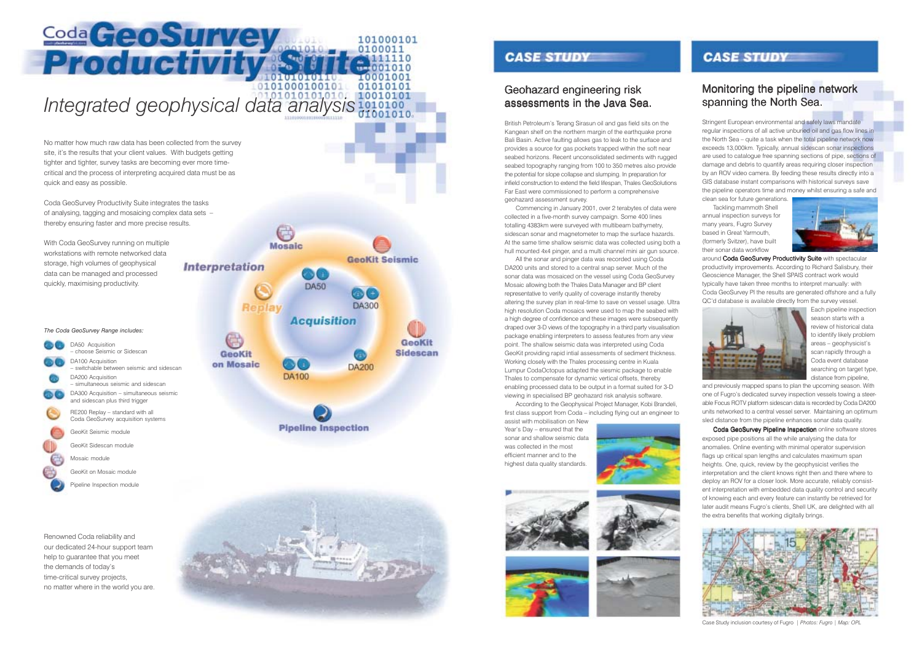# *Integrated geophysical data analysis ...*

## Monitoring the pipeline network spanning the North Sea.

Coda GeoSurvey

**CASE STUDY** 

Stringent European environmental and safely laws mandate regular inspections of all active unburied oil and gas flow lines in the North Sea – quite a task when the total pipeline network now exceeds 13,000km. Typically, annual sidescan sonar inspections are used to catalogue free spanning sections of pipe, sections of damage and debris to quantify areas requiring closer inspection by an ROV video camera. By feeding these results directly into a GIS database instant comparisons with historical surveys save the pipeline operators time and money whilst ensuring a safe and

around **Coda GeoSurvey Productivity Suite** with spectacular productivity improvements. According to Richard Salisbury, their Geoscience Manager, the Shell SPAIS contract work would typically have taken three months to interpret manually: with Coda GeoSurvey PI the results are generated offshore and a fully QC'd database is available directly from the survey vessel.



clean sea for future generations. Tackling mammoth Shell annual inspection surveys for many years, Fugro Survey based in Great Yarmouth, (formerly Svitzer), have built their sonar data workflow



Coda GeoSurvey Pipeline Inspection online software stores exposed pipe positions all the while analysing the data for anomalies. Online eventing with minimal operator supervision flags up critical span lengths and calculates maximum span heights. One, quick, review by the geophysicist verifies the interpretation and the client knows right then and there where to deploy an ROV for a closer look. More accurate, reliably consistent interpretation with embedded data quality control and security of knowing each and every feature can instantly be retrieved for later audit means Fugro's clients, Shell UK, are delighted with all the extra benefits that working digitally brings.

Each pipeline inspection season starts with areview of historical data to identify likely problem areas – geophysicist's scan rapidly through a Coda event database searching on target type, distance from pipeline,

and previously mapped spans to plan the upcoming season. With one of Fugro's dedicated survey inspection vessels towing a steerable Focus ROTV platform sidescan data is recorded by Coda DA200 units networked to a central vessel server. Maintaining an optimum sled distance from the pipeline enhances sonar data quality.

DA50 Acquisition – choose Seismic or Sidescan DA100 Acquisition – switchable between seismic and sidescanDA200 Acquisition – simultaneous seismic and sidescanDA300 Acquisition – simultaneous seismic and sidescan plus third trigger RE200 Replay – standard with all Coda GeoSurvey acquisition systems

### Geohazard engineering risk assessments in the Java Sea.

Commencing in January 2001, over 2 terabytes of data were collected in a five-month survey campaign. Some 400 lines totalling 4383km were surveyed with multibeam bathymetry, sidescan sonar and magnetometer to map the surface hazards. At the same time shallow seismic data was collected using both a hull mounted 4x4 pinger, and a multi channel mini air gun source.

No matter how much raw data has been collected from the survey site, it's the results that your client values. With budgets getting tighter and tighter, survey tasks are becoming ever more timecritical and the process of interpreting acquired data must be as quick and easy as possible.

Coda GeoSurvey Productivity Suite integrates the tasks of analysing, tagging and mosaicing complex data sets – thereby ensuring faster and more precise results.

With Coda GeoSurvey running on multiple workstations with remote networked data storage, high volumes of geophysical data can be managed and processed quickly, maximising productivity.

#### *The Coda GeoSurvey Range includes:*

GeoKit Seismic module GeoKit Sidescan moduleMosaic module GeoKit on Mosaic module

Pipeline Inspection module

British Petroleum's Terang Sirasun oil and gas field sits on the Kangean shelf on the northern margin of the earthquake prone Bali Basin. Active faulting allows gas to leak to the surface and provides a source for gas pockets trapped within the soft near seabed horizons. Recent unconsolidated sediments with rugged seabed topography ranging from 100 to 350 metres also provide the potential for slope collapse and slumping. In preparation for infield construction to extend the field lifespan, Thales GeoSolutions Far East were commissioned to perform a comprehensive geohazard assessment survey.

All the sonar and pinger data was recorded using Coda DA200 units and stored to a central snap server. Much of the sonar data was mosaiced on the vessel using Coda GeoSurvey Mosaic allowing both the Thales Data Manager and BP client representative to verify quality of coverage instantly thereby altering the survey plan in real-time to save on vessel usage. Ultra high resolution Coda mosaics were used to map the seabed with a high degree of confidence and these images were subsequently draped over 3-D views of the topography in a third party visualisation package enabling interpreters to assess features from any view point. The shallow seismic data was interpreted using Coda GeoKit providing rapid intial assessments of sediment thickness. Working closely with the Thales processing centre in Kuala Lumpur CodaOctopus adapted the siesmic package to enable Thales to compensate for dynamic vertical offsets, thereby enabling processed data to be output in a format suited for 3-D viewing in specialised BP geohazard risk analysis software.

According to the Geophysical Project Manager, Kobi Brandeli, first class support from Coda – including flying out an engineer to

assist with mobilisation on NewYear's Day – ensured that the sonar and shallow seismic datawas collected in the most efficient manner and to thehighest data quality standards.











Renowned Coda reliability and our dedicated 24-hour support team help to guarantee that you meet the demands of today's time-critical survey projects, no matter where in the world you are.



0101000100101

101000101 0100011

001010  $0001001$ 

01010101

### **CASE STUDY**



Case Study inclusion courtesy of Fugro | *Photos: Fugro | Map: OPL*